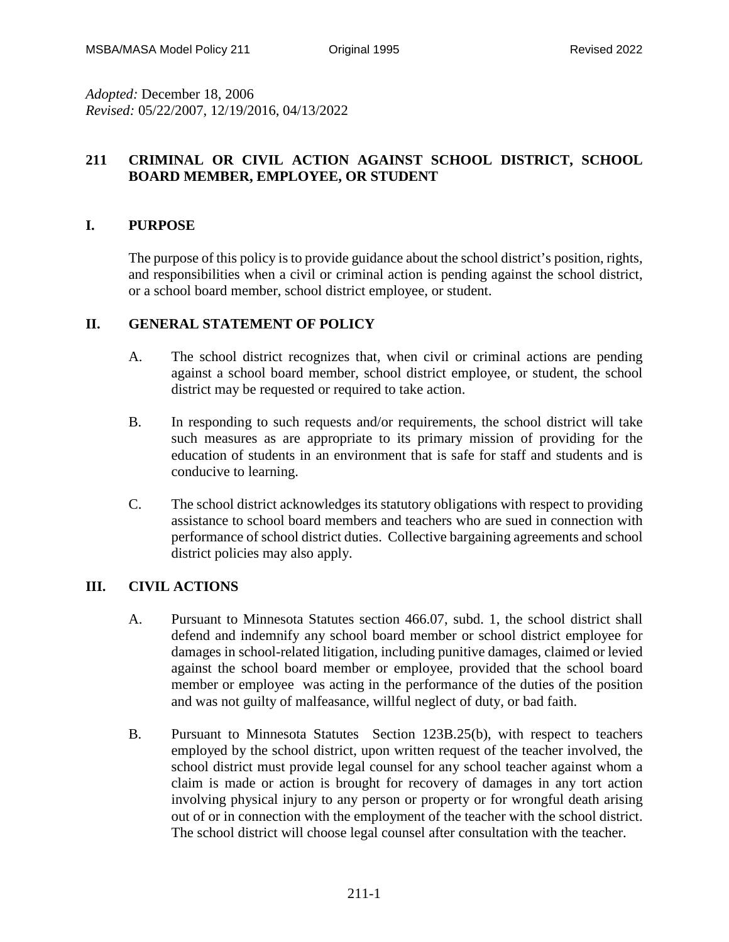*Adopted:* December 18, 2006 *Revised:* 05/22/2007, 12/19/2016, 04/13/2022

# **211 CRIMINAL OR CIVIL ACTION AGAINST SCHOOL DISTRICT, SCHOOL BOARD MEMBER, EMPLOYEE, OR STUDENT**

# **I. PURPOSE**

The purpose of this policy is to provide guidance about the school district's position, rights, and responsibilities when a civil or criminal action is pending against the school district, or a school board member, school district employee, or student.

## **II. GENERAL STATEMENT OF POLICY**

- A. The school district recognizes that, when civil or criminal actions are pending against a school board member, school district employee, or student, the school district may be requested or required to take action.
- B. In responding to such requests and/or requirements, the school district will take such measures as are appropriate to its primary mission of providing for the education of students in an environment that is safe for staff and students and is conducive to learning.
- C. The school district acknowledges its statutory obligations with respect to providing assistance to school board members and teachers who are sued in connection with performance of school district duties. Collective bargaining agreements and school district policies may also apply.

# **III. CIVIL ACTIONS**

- A. Pursuant to Minnesota Statutes section 466.07, subd. 1, the school district shall defend and indemnify any school board member or school district employee for damages in school-related litigation, including punitive damages, claimed or levied against the school board member or employee, provided that the school board member or employee was acting in the performance of the duties of the position and was not guilty of malfeasance, willful neglect of duty, or bad faith.
- B. Pursuant to Minnesota Statutes Section 123B.25(b), with respect to teachers employed by the school district, upon written request of the teacher involved, the school district must provide legal counsel for any school teacher against whom a claim is made or action is brought for recovery of damages in any tort action involving physical injury to any person or property or for wrongful death arising out of or in connection with the employment of the teacher with the school district. The school district will choose legal counsel after consultation with the teacher.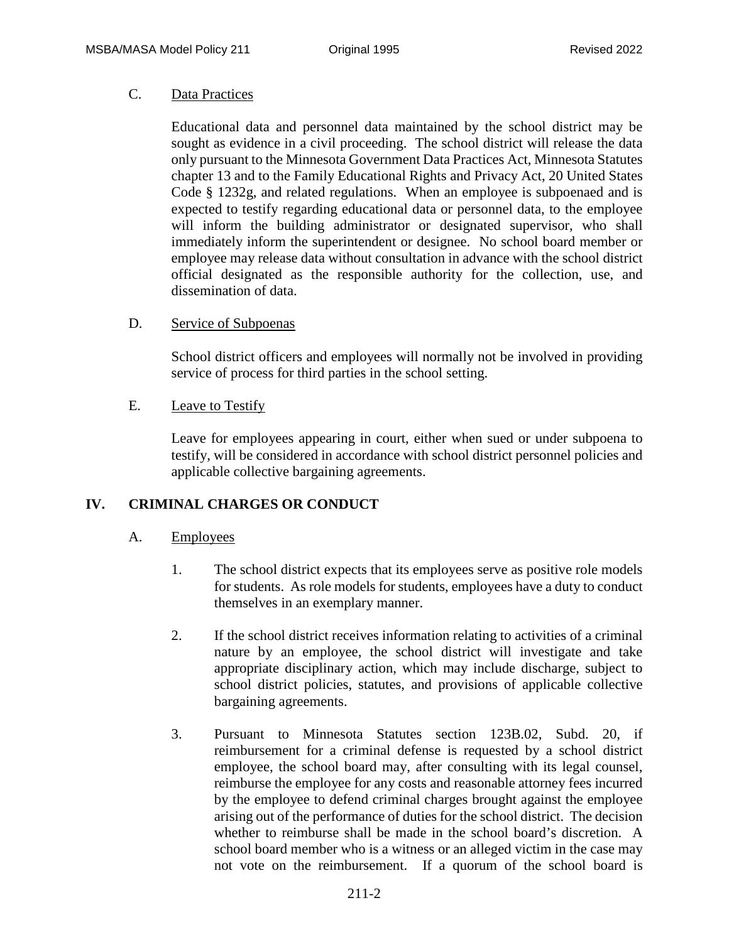## C. Data Practices

Educational data and personnel data maintained by the school district may be sought as evidence in a civil proceeding. The school district will release the data only pursuant to the Minnesota Government Data Practices Act, Minnesota Statutes chapter 13 and to the Family Educational Rights and Privacy Act, 20 United States Code § 1232g, and related regulations. When an employee is subpoenaed and is expected to testify regarding educational data or personnel data, to the employee will inform the building administrator or designated supervisor, who shall immediately inform the superintendent or designee. No school board member or employee may release data without consultation in advance with the school district official designated as the responsible authority for the collection, use, and dissemination of data.

### D. Service of Subpoenas

School district officers and employees will normally not be involved in providing service of process for third parties in the school setting.

### E. Leave to Testify

Leave for employees appearing in court, either when sued or under subpoena to testify, will be considered in accordance with school district personnel policies and applicable collective bargaining agreements.

### **IV. CRIMINAL CHARGES OR CONDUCT**

### A. Employees

- 1. The school district expects that its employees serve as positive role models for students. As role models for students, employees have a duty to conduct themselves in an exemplary manner.
- 2. If the school district receives information relating to activities of a criminal nature by an employee, the school district will investigate and take appropriate disciplinary action, which may include discharge, subject to school district policies, statutes, and provisions of applicable collective bargaining agreements.
- 3. Pursuant to Minnesota Statutes section 123B.02, Subd. 20, if reimbursement for a criminal defense is requested by a school district employee, the school board may, after consulting with its legal counsel, reimburse the employee for any costs and reasonable attorney fees incurred by the employee to defend criminal charges brought against the employee arising out of the performance of duties for the school district. The decision whether to reimburse shall be made in the school board's discretion. A school board member who is a witness or an alleged victim in the case may not vote on the reimbursement. If a quorum of the school board is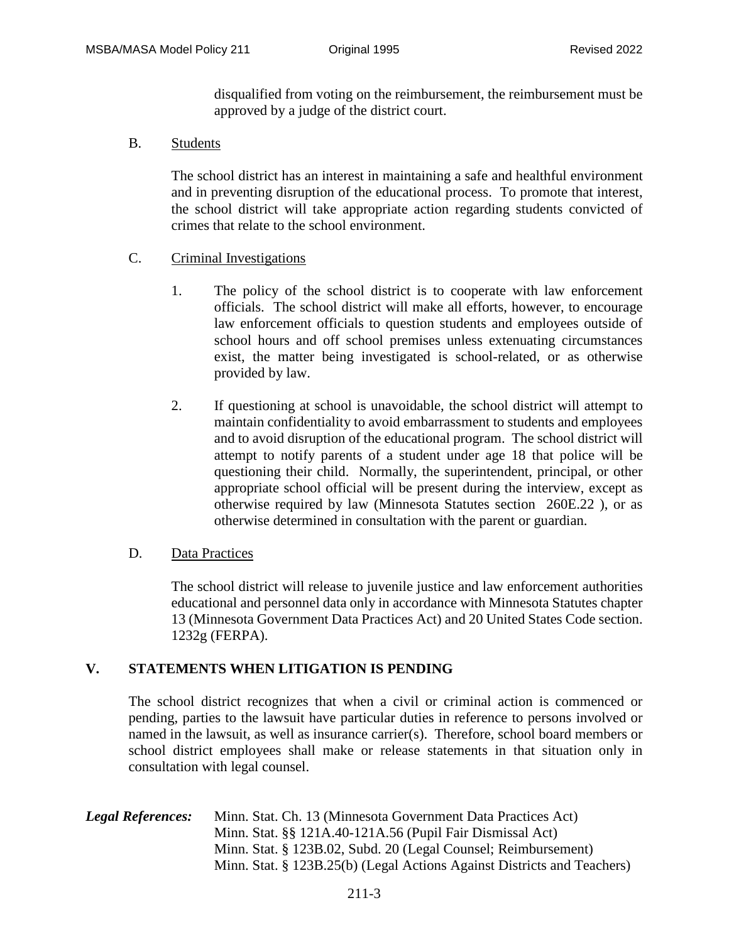disqualified from voting on the reimbursement, the reimbursement must be approved by a judge of the district court.

B. Students

The school district has an interest in maintaining a safe and healthful environment and in preventing disruption of the educational process. To promote that interest, the school district will take appropriate action regarding students convicted of crimes that relate to the school environment.

- C. Criminal Investigations
	- 1. The policy of the school district is to cooperate with law enforcement officials. The school district will make all efforts, however, to encourage law enforcement officials to question students and employees outside of school hours and off school premises unless extenuating circumstances exist, the matter being investigated is school-related, or as otherwise provided by law.
	- 2. If questioning at school is unavoidable, the school district will attempt to maintain confidentiality to avoid embarrassment to students and employees and to avoid disruption of the educational program. The school district will attempt to notify parents of a student under age 18 that police will be questioning their child. Normally, the superintendent, principal, or other appropriate school official will be present during the interview, except as otherwise required by law (Minnesota Statutes section 260E.22 ), or as otherwise determined in consultation with the parent or guardian.

#### D. Data Practices

The school district will release to juvenile justice and law enforcement authorities educational and personnel data only in accordance with Minnesota Statutes chapter 13 (Minnesota Government Data Practices Act) and 20 United States Code section. 1232g (FERPA).

### **V. STATEMENTS WHEN LITIGATION IS PENDING**

The school district recognizes that when a civil or criminal action is commenced or pending, parties to the lawsuit have particular duties in reference to persons involved or named in the lawsuit, as well as insurance carrier(s). Therefore, school board members or school district employees shall make or release statements in that situation only in consultation with legal counsel.

*Legal References:* Minn. Stat. Ch. 13 (Minnesota Government Data Practices Act) Minn. Stat. §§ 121A.40-121A.56 (Pupil Fair Dismissal Act) Minn. Stat. § 123B.02, Subd. 20 (Legal Counsel; Reimbursement) Minn. Stat. § 123B.25(b) (Legal Actions Against Districts and Teachers)